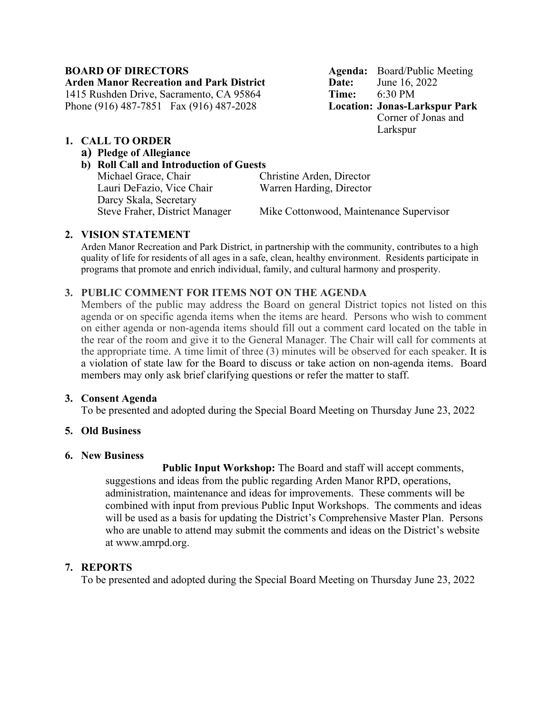**Arden Manor Recreation and Park District Date:** June 16, 2022 1415 Rushden Drive, Sacramento, CA 95864 **Time:** 6:30 PM Phone (916) 487-7851 Fax (916) 487-2028

**BOARD OF DIRECTORS Agenda:** Board/Public Meeting Corner of Jonas and Larkspur

# **1. CALL TO ORDER**

# **a) Pledge of Allegiance**

## **b) Roll Call and Introduction of Guests**

Michael Grace, Chair Christine Arden, Director Lauri DeFazio, Vice Chair Warren Harding, Director Darcy Skala, Secretary Steve Fraher, District Manager Mike Cottonwood, Maintenance Supervisor

# **2. VISION STATEMENT**

Arden Manor Recreation and Park District, in partnership with the community, contributes to a high quality of life for residents of all ages in a safe, clean, healthy environment. Residents participate in programs that promote and enrich individual, family, and cultural harmony and prosperity.

# **3. PUBLIC COMMENT FOR ITEMS NOT ON THE AGENDA**

Members of the public may address the Board on general District topics not listed on this agenda or on specific agenda items when the items are heard. Persons who wish to comment on either agenda or non-agenda items should fill out a comment card located on the table in the rear of the room and give it to the General Manager. The Chair will call for comments at the appropriate time. A time limit of three (3) minutes will be observed for each speaker. It is a violation of state law for the Board to discuss or take action on non-agenda items. Board members may only ask brief clarifying questions or refer the matter to staff.

## **3. Consent Agenda**

To be presented and adopted during the Special Board Meeting on Thursday June 23, 2022

# **5. Old Business**

## **6. New Business**

**Public Input Workshop:** The Board and staff will accept comments, suggestions and ideas from the public regarding Arden Manor RPD, operations, administration, maintenance and ideas for improvements. These comments will be combined with input from previous Public Input Workshops. The comments and ideas will be used as a basis for updating the District's Comprehensive Master Plan. Persons who are unable to attend may submit the comments and ideas on the District's website at www.amrpd.org.

# **7. REPORTS**

To be presented and adopted during the Special Board Meeting on Thursday June 23, 2022